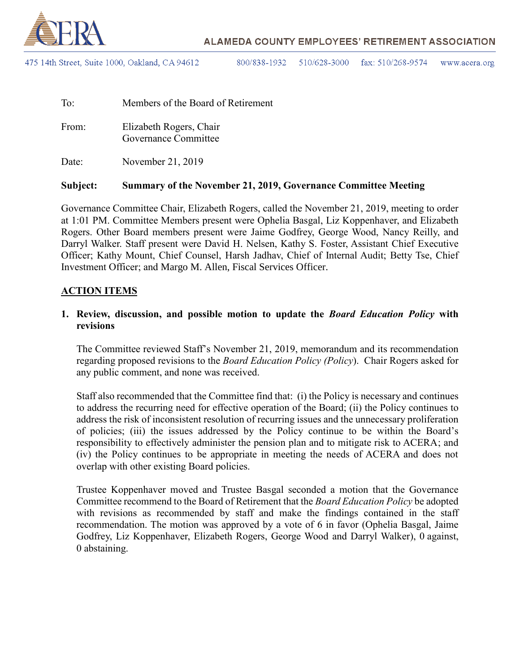

475 14th Street, Suite 1000, Oakland, CA 94612

800/838-1932 510/628-3000 fax:  $510/268-9574$ www.acera.org

| To:   | Members of the Board of Retirement              |
|-------|-------------------------------------------------|
| From: | Elizabeth Rogers, Chair<br>Governance Committee |
| Date: | November 21, 2019                               |

#### **Subject: Summary of the November 21, 2019, Governance Committee Meeting**

Governance Committee Chair, Elizabeth Rogers, called the November 21, 2019, meeting to order at 1:01 PM. Committee Members present were Ophelia Basgal, Liz Koppenhaver, and Elizabeth Rogers. Other Board members present were Jaime Godfrey, George Wood, Nancy Reilly, and Darryl Walker. Staff present were David H. Nelsen, Kathy S. Foster, Assistant Chief Executive Officer; Kathy Mount, Chief Counsel, Harsh Jadhav, Chief of Internal Audit; Betty Tse, Chief Investment Officer; and Margo M. Allen, Fiscal Services Officer.

#### **ACTION ITEMS**

### **1. Review, discussion, and possible motion to update the** *Board Education Policy* **with revisions**

The Committee reviewed Staff's November 21, 2019, memorandum and its recommendation regarding proposed revisions to the *Board Education Policy (Policy*). Chair Rogers asked for any public comment, and none was received.

Staff also recommended that the Committee find that: (i) the Policy is necessary and continues to address the recurring need for effective operation of the Board; (ii) the Policy continues to address the risk of inconsistent resolution of recurring issues and the unnecessary proliferation of policies; (iii) the issues addressed by the Policy continue to be within the Board's responsibility to effectively administer the pension plan and to mitigate risk to ACERA; and (iv) the Policy continues to be appropriate in meeting the needs of ACERA and does not overlap with other existing Board policies.

Trustee Koppenhaver moved and Trustee Basgal seconded a motion that the Governance Committee recommend to the Board of Retirement that the *Board Education Policy* be adopted with revisions as recommended by staff and make the findings contained in the staff recommendation. The motion was approved by a vote of 6 in favor (Ophelia Basgal, Jaime Godfrey, Liz Koppenhaver, Elizabeth Rogers, George Wood and Darryl Walker), 0 against, 0 abstaining.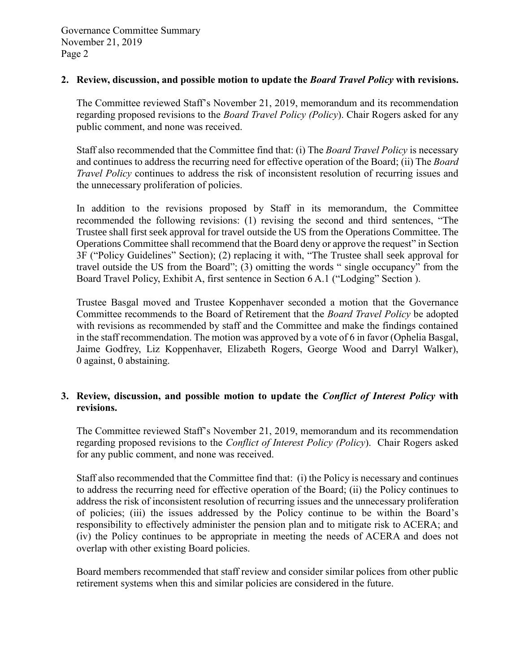#### **2. Review, discussion, and possible motion to update the** *Board Travel Policy* **with revisions.**

The Committee reviewed Staff's November 21, 2019, memorandum and its recommendation regarding proposed revisions to the *Board Travel Policy (Policy*). Chair Rogers asked for any public comment, and none was received.

Staff also recommended that the Committee find that: (i) The *Board Travel Policy* is necessary and continues to address the recurring need for effective operation of the Board; (ii) The *Board Travel Policy* continues to address the risk of inconsistent resolution of recurring issues and the unnecessary proliferation of policies.

In addition to the revisions proposed by Staff in its memorandum, the Committee recommended the following revisions: (1) revising the second and third sentences, "The Trustee shall first seek approval for travel outside the US from the Operations Committee. The Operations Committee shall recommend that the Board deny or approve the request" in Section 3F ("Policy Guidelines" Section); (2) replacing it with, "The Trustee shall seek approval for travel outside the US from the Board"; (3) omitting the words " single occupancy" from the Board Travel Policy, Exhibit A, first sentence in Section 6 A.1 ("Lodging" Section ).

Trustee Basgal moved and Trustee Koppenhaver seconded a motion that the Governance Committee recommends to the Board of Retirement that the *Board Travel Policy* be adopted with revisions as recommended by staff and the Committee and make the findings contained in the staff recommendation. The motion was approved by a vote of 6 in favor (Ophelia Basgal, Jaime Godfrey, Liz Koppenhaver, Elizabeth Rogers, George Wood and Darryl Walker), 0 against, 0 abstaining.

### **3. Review, discussion, and possible motion to update the** *Conflict of Interest Policy* **with revisions.**

The Committee reviewed Staff's November 21, 2019, memorandum and its recommendation regarding proposed revisions to the *Conflict of Interest Policy (Policy*). Chair Rogers asked for any public comment, and none was received.

Staff also recommended that the Committee find that: (i) the Policy is necessary and continues to address the recurring need for effective operation of the Board; (ii) the Policy continues to address the risk of inconsistent resolution of recurring issues and the unnecessary proliferation of policies; (iii) the issues addressed by the Policy continue to be within the Board's responsibility to effectively administer the pension plan and to mitigate risk to ACERA; and (iv) the Policy continues to be appropriate in meeting the needs of ACERA and does not overlap with other existing Board policies.

Board members recommended that staff review and consider similar polices from other public retirement systems when this and similar policies are considered in the future.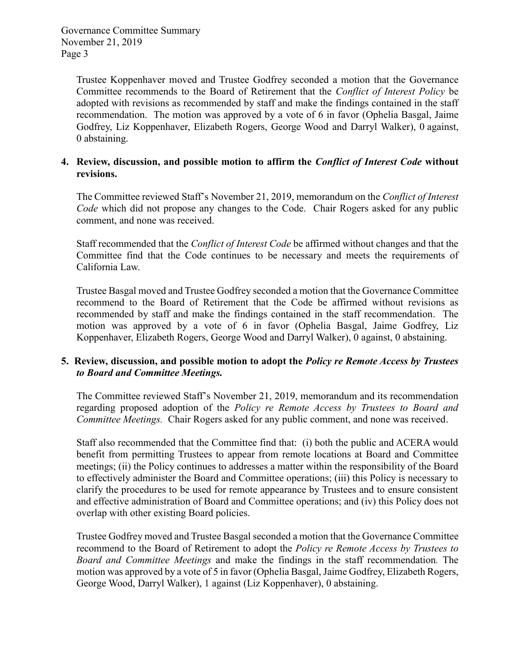Trustee Koppenhaver moved and Trustee Godfrey seconded a motion that the Governance Committee recommends to the Board of Retirement that the *Conflict of Interest Policy* be adopted with revisions as recommended by staff and make the findings contained in the staff recommendation. The motion was approved by a vote of 6 in favor (Ophelia Basgal, Jaime Godfrey, Liz Koppenhaver, Elizabeth Rogers, George Wood and Darryl Walker), 0 against, 0 abstaining.

### **4. Review, discussion, and possible motion to affirm the** *Conflict of Interest Code* **without revisions.**

The Committee reviewed Staff's November 21, 2019, memorandum on the *Conflict of Interest Code* which did not propose any changes to the Code. Chair Rogers asked for any public comment, and none was received.

Staff recommended that the *Conflict of Interest Code* be affirmed without changes and that the Committee find that the Code continues to be necessary and meets the requirements of California Law.

Trustee Basgal moved and Trustee Godfrey seconded a motion that the Governance Committee recommend to the Board of Retirement that the Code be affirmed without revisions as recommended by staff and make the findings contained in the staff recommendation. The motion was approved by a vote of 6 in favor (Ophelia Basgal, Jaime Godfrey, Liz Koppenhaver, Elizabeth Rogers, George Wood and Darryl Walker), 0 against, 0 abstaining.

### **5. Review, discussion, and possible motion to adopt the** *Policy re Remote Access by Trustees to Board and Committee Meetings.*

The Committee reviewed Staff's November 21, 2019, memorandum and its recommendation regarding proposed adoption of the *Policy re Remote Access by Trustees to Board and Committee Meetings.* Chair Rogers asked for any public comment, and none was received.

Staff also recommended that the Committee find that: (i) both the public and ACERA would benefit from permitting Trustees to appear from remote locations at Board and Committee meetings; (ii) the Policy continues to addresses a matter within the responsibility of the Board to effectively administer the Board and Committee operations; (iii) this Policy is necessary to clarify the procedures to be used for remote appearance by Trustees and to ensure consistent and effective administration of Board and Committee operations; and (iv) this Policy does not overlap with other existing Board policies.

Trustee Godfrey moved and Trustee Basgal seconded a motion that the Governance Committee recommend to the Board of Retirement to adopt the *Policy re Remote Access by Trustees to Board and Committee Meetings* and make the findings in the staff recommendation*.* The motion was approved by a vote of 5 in favor (Ophelia Basgal, Jaime Godfrey, Elizabeth Rogers, George Wood, Darryl Walker), 1 against (Liz Koppenhaver), 0 abstaining.